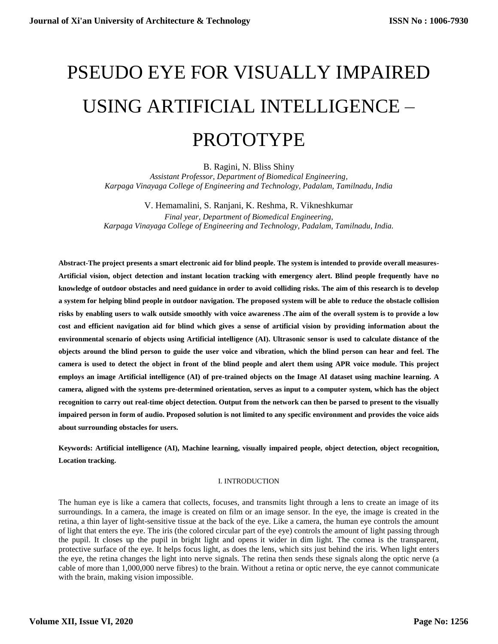# PSEUDO EYE FOR VISUALLY IMPAIRED USING ARTIFICIAL INTELLIGENCE –

# PROTOTYPE

B. Ragini, N. Bliss Shiny

*Assistant Professor, Department of Biomedical Engineering, Karpaga Vinayaga College of Engineering and Technology, Padalam, Tamilnadu, India*

V. Hemamalini, S. Ranjani, K. Reshma, R. Vikneshkumar *Final year, Department of Biomedical Engineering, Karpaga Vinayaga College of Engineering and Technology, Padalam, Tamilnadu, India.*

**Abstract-The project presents a smart electronic aid for blind people. The system is intended to provide overall measures-Artificial vision, object detection and instant location tracking with emergency alert. Blind people frequently have no knowledge of outdoor obstacles and need guidance in order to avoid colliding risks. The aim of this research is to develop a system for helping blind people in outdoor navigation. The proposed system will be able to reduce the obstacle collision risks by enabling users to walk outside smoothly with voice awareness .The aim of the overall system is to provide a low cost and efficient navigation aid for blind which gives a sense of artificial vision by providing information about the environmental scenario of objects using Artificial intelligence (AI). Ultrasonic sensor is used to calculate distance of the objects around the blind person to guide the user voice and vibration, which the blind person can hear and feel. The camera is used to detect the object in front of the blind people and alert them using APR voice module. This project employs an image Artificial intelligence (AI) of pre-trained objects on the Image AI dataset using machine learning. A camera, aligned with the systems pre-determined orientation, serves as input to a computer system, which has the object recognition to carry out real-time object detection. Output from the network can then be parsed to present to the visually impaired person in form of audio. Proposed solution is not limited to any specific environment and provides the voice aids about surrounding obstacles for users.**

**Keywords: Artificial intelligence (AI), Machine learning, visually impaired people, object detection, object recognition, Location tracking.**

#### I. INTRODUCTION

The human eye is like a camera that collects, focuses, and transmits light through a lens to create an image of its surroundings. In a camera, the image is created on film or an image sensor. In the eye, the image is created in the retina, a thin layer of light-sensitive tissue at the back of the eye. Like a camera, the human eye controls the amount of light that enters the eye. The iris (the colored circular part of the eye) controls the amount of light passing through the pupil. It closes up the pupil in bright light and opens it wider in dim light. The cornea is the transparent, protective surface of the eye. It helps focus light, as does the lens, which sits just behind the iris. When light enters the eye, the retina changes the light into nerve signals. The retina then sends these signals along the optic nerve (a cable of more than 1,000,000 nerve fibres) to the brain. Without a retina or optic nerve, the eye cannot communicate with the brain, making vision impossible.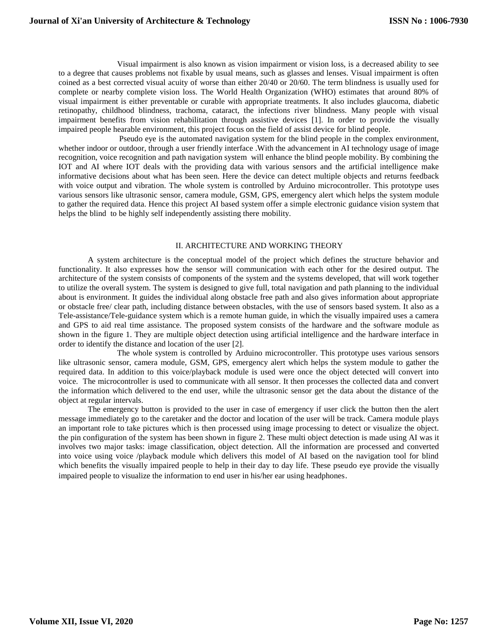Visual impairment is also known as vision impairment or vision loss, is a decreased ability to see to a degree that causes problems not fixable by usual means, such as glasses and lenses. Visual impairment is often coined as a best corrected visual acuity of worse than either 20/40 or 20/60. The term blindness is usually used for complete or nearby complete vision loss. The World Health Organization (WHO) estimates that around 80% of visual impairment is either preventable or curable with appropriate treatments. It also includes glaucoma, diabetic retinopathy, childhood blindness, trachoma, cataract, the infections river blindness. Many people with visual impairment benefits from vision rehabilitation through assistive devices [1]. In order to provide the visually impaired people hearable environment, this project focus on the field of assist device for blind people.

Pseudo eye is the automated navigation system for the blind people in the complex environment, whether indoor or outdoor, through a user friendly interface .With the advancement in AI technology usage of image recognition, voice recognition and path navigation system will enhance the blind people mobility. By combining the IOT and AI where IOT deals with the providing data with various sensors and the artificial intelligence make informative decisions about what has been seen. Here the device can detect multiple objects and returns feedback with voice output and vibration. The whole system is controlled by Arduino microcontroller. This prototype uses various sensors like ultrasonic sensor, camera module, GSM, GPS, emergency alert which helps the system module to gather the required data. Hence this project AI based system offer a simple electronic guidance vision system that helps the blind to be highly self independently assisting there mobility.

#### II. ARCHITECTURE AND WORKING THEORY

A system architecture is the conceptual model of the project which defines the structure behavior and functionality. It also expresses how the sensor will communication with each other for the desired output. The architecture of the system consists of components of the system and the systems developed, that will work together to utilize the overall system. The system is designed to give full, total navigation and path planning to the individual about is environment. It guides the individual along obstacle free path and also gives information about appropriate or obstacle free/ clear path, including distance between obstacles, with the use of sensors based system. It also as a Tele-assistance/Tele-guidance system which is a remote human guide, in which the visually impaired uses a camera and GPS to aid real time assistance. The proposed system consists of the hardware and the software module as shown in the figure 1. They are multiple object detection using artificial intelligence and the hardware interface in order to identify the distance and location of the user [2].

The whole system is controlled by Arduino microcontroller. This prototype uses various sensors like ultrasonic sensor, camera module, GSM, GPS, emergency alert which helps the system module to gather the required data. In addition to this voice/playback module is used were once the object detected will convert into voice. The microcontroller is used to communicate with all sensor. It then processes the collected data and convert the information which delivered to the end user, while the ultrasonic sensor get the data about the distance of the object at regular intervals.

The emergency button is provided to the user in case of emergency if user click the button then the alert message immediately go to the caretaker and the doctor and location of the user will be track. Camera module plays an important role to take pictures which is then processed using image processing to detect or visualize the object. the pin configuration of the system has been shown in figure 2. These multi object detection is made using AI was it involves two major tasks: image classification, object detection. All the information are processed and converted into voice using voice /playback module which delivers this model of AI based on the navigation tool for blind which benefits the visually impaired people to help in their day to day life. These pseudo eye provide the visually impaired people to visualize the information to end user in his/her ear using headphones.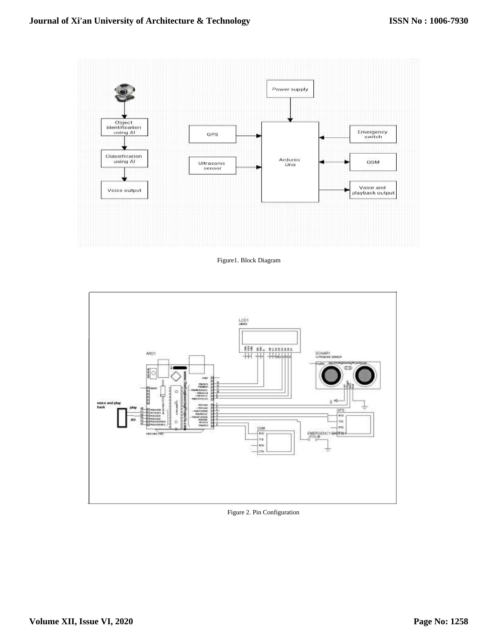

Figure1. Block Diagram



Figure 2. Pin Configuration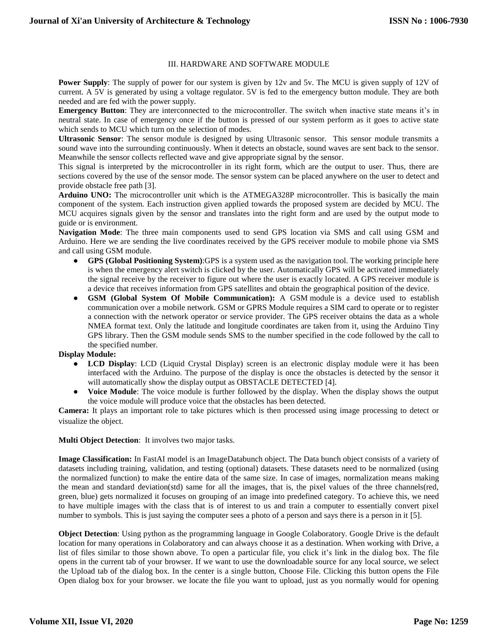#### III. HARDWARE AND SOFTWARE MODULE

**Power Supply**: The supply of power for our system is given by 12v and 5v. The MCU is given supply of 12V of current. A 5V is generated by using a voltage regulator. 5V is fed to the emergency button module. They are both needed and are fed with the power supply.

**Emergency Button**: They are interconnected to the microcontroller. The switch when inactive state means it's in neutral state. In case of emergency once if the button is pressed of our system perform as it goes to active state which sends to MCU which turn on the selection of modes.

**Ultrasonic Sensor**: The sensor module is designed by using Ultrasonic sensor. This sensor module transmits a sound wave into the surrounding continuously. When it detects an obstacle, sound waves are sent back to the sensor. Meanwhile the sensor collects reflected wave and give appropriate signal by the sensor.

This signal is interpreted by the microcontroller in its right form, which are the output to user. Thus, there are sections covered by the use of the sensor mode. The sensor system can be placed anywhere on the user to detect and provide obstacle free path [3].

**Arduino UNO:** The microcontroller unit which is the ATMEGA328P microcontroller. This is basically the main component of the system. Each instruction given applied towards the proposed system are decided by MCU. The MCU acquires signals given by the sensor and translates into the right form and are used by the output mode to guide or is environment.

**Navigation Mode**: The three main components used to send GPS location via SMS and call using GSM and Arduino. Here we are sending the live coordinates received by the GPS receiver module to mobile phone via SMS and call using GSM module.

- **GPS (Global Positioning System)**:GPS is a system used as the navigation tool. The working principle here is when the emergency alert switch is clicked by the user. Automatically GPS will be activated immediately the signal receive by the receiver to figure out where the user is exactly located. A GPS receiver module is a device that receives information from GPS satellites and obtain the geographical position of the device.
- **GSM (Global System Of Mobile Communication):** A GSM module is a device used to establish communication over a mobile network. GSM or GPRS Module requires a SIM card to operate or to register a connection with the network operator or service provider. The GPS receiver obtains the data as a whole NMEA format text. Only the latitude and longitude coordinates are taken from it, using the Arduino Tiny GPS library. Then the GSM module sends SMS to the number specified in the code followed by the call to the specified number.

#### **Display Module:**

- **LCD Display**: LCD (Liquid Crystal Display) screen is an electronic display module were it has been interfaced with the Arduino. The purpose of the display is once the obstacles is detected by the sensor it will automatically show the display output as OBSTACLE DETECTED [4].
- **Voice Module**: The voice module is further followed by the display. When the display shows the output the voice module will produce voice that the obstacles has been detected.

**Camera:** It plays an important role to take pictures which is then processed using image processing to detect or visualize the object.

#### **Multi Object Detection**: It involves two major tasks.

**Image Classification:** In FastAI model is an ImageDatabunch object. The Data bunch object consists of a variety of datasets including training, validation, and testing (optional) datasets. These datasets need to be normalized (using the normalized function) to make the entire data of the same size. In case of images, normalization means making the mean and standard deviation(std) same for all the images, that is, the pixel values of the three channels(red, green, blue) gets normalized it focuses on grouping of an image into predefined category. To achieve this, we need to have multiple images with the class that is of interest to us and train a computer to essentially convert pixel number to symbols. This is just saying the computer sees a photo of a person and says there is a person in it [5].

**Object Detection**: Using python as the programming language in Google Colaboratory. Google Drive is the default location for many operations in Colaboratory and can always choose it as a destination. When working with Drive, a list of files similar to those shown above. To open a particular file, you click it's link in the dialog box. The file opens in the current tab of your browser. If we want to use the downloadable source for any local source, we select the Upload tab of the dialog box. In the center is a single button, Choose File. Clicking this button opens the File Open dialog box for your browser. we locate the file you want to upload, just as you normally would for opening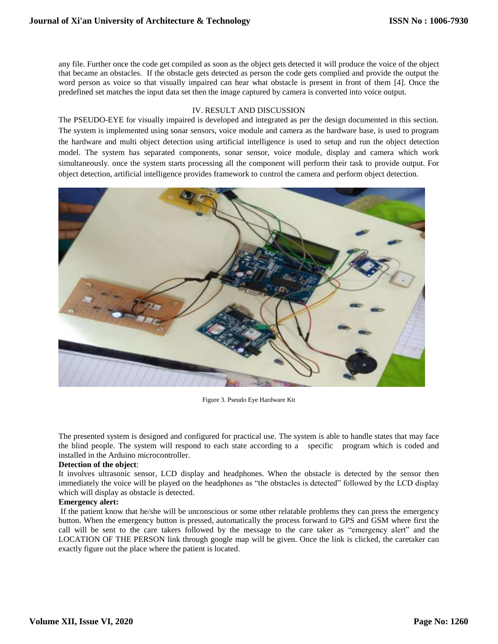any file. Further once the code get compiled as soon as the object gets detected it will produce the voice of the object that became an obstacles. If the obstacle gets detected as person the code gets complied and provide the output the word person as voice so that visually impaired can hear what obstacle is present in front of them [4]. Once the predefined set matches the input data set then the image captured by camera is converted into voice output.

#### IV. RESULT AND DISCUSSION

The PSEUDO-EYE for visually impaired is developed and integrated as per the design documented in this section. The system is implemented using sonar sensors, voice module and camera as the hardware base, is used to program the hardware and multi object detection using artificial intelligence is used to setup and run the object detection model. The system has separated components, sonar sensor, voice module, display and camera which work simultaneously. once the system starts processing all the component will perform their task to provide output. For object detection, artificial intelligence provides framework to control the camera and perform object detection.



Figure 3. Pseudo Eye Hardware Kit

The presented system is designed and configured for practical use. The system is able to handle states that may face the blind people. The system will respond to each state according to a specific program which is coded and installed in the Arduino microcontroller.

## **Detection of the object**:

It involves ultrasonic sensor, LCD display and headphones. When the obstacle is detected by the sensor then immediately the voice will be played on the headphones as "the obstacles is detected" followed by the LCD display which will display as obstacle is detected.

#### **Emergency alert:**

If the patient know that he/she will be unconscious or some other relatable problems they can press the emergency button. When the emergency button is pressed, automatically the process forward to GPS and GSM where first the call will be sent to the care takers followed by the message to the care taker as "emergency alert" and the LOCATION OF THE PERSON link through google map will be given. Once the link is clicked, the caretaker can exactly figure out the place where the patient is located.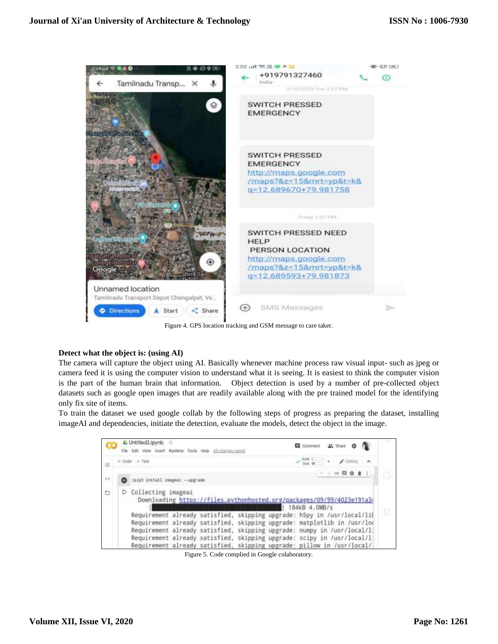

Figure 4. GPS location tracking and GSM message to care taker.

## **Detect what the object is: (using AI)**

The camera will capture the object using AI. Basically whenever machine process raw visual input- such as jpeg or camera feed it is using the computer vision to understand what it is seeing. It is easiest to think the computer vision is the part of the human brain that information. Object detection is used by a number of pre-collected object datasets such as google open images that are readily available along with the pre trained model for the identifying only fix site of items.

To train the dataset we used google collab by the following steps of progress as preparing the dataset, installing imageAI and dependencies, initiate the detection, evaluate the models, detect the object in the image.

| 逗          | $+ 7$ ode $+ 7$ ext                                                                                            |  |  |  |                                                                                     |  |  | $\overline{\phantom{a}}$ $\overline{\phantom{a}}$ $\overline{\phantom{a}}$ $\overline{\phantom{a}}$ $\overline{\phantom{a}}$ |  |  |  |
|------------|----------------------------------------------------------------------------------------------------------------|--|--|--|-------------------------------------------------------------------------------------|--|--|------------------------------------------------------------------------------------------------------------------------------|--|--|--|
|            |                                                                                                                |  |  |  |                                                                                     |  |  | $        -$                                                                                                                  |  |  |  |
| $\bigcirc$ | \pip3 install imageai --upgrade                                                                                |  |  |  |                                                                                     |  |  |                                                                                                                              |  |  |  |
|            | D Collecting imageai<br>Downloading https://files.pythonhosted.org/packages/09/99/4023e191a34<br>184kB 4.0MB/s |  |  |  |                                                                                     |  |  |                                                                                                                              |  |  |  |
|            |                                                                                                                |  |  |  |                                                                                     |  |  |                                                                                                                              |  |  |  |
|            | Requirement already satisfied,                                                                                 |  |  |  | skipping upgrade: h5py in /usr/local/lif                                            |  |  |                                                                                                                              |  |  |  |
|            | Requirement already satisfied,                                                                                 |  |  |  | skipping upgrade: matplotlib in /usr/loo                                            |  |  |                                                                                                                              |  |  |  |
| ö          | Requirement already satisfied,<br>Requirement already satisfied,                                               |  |  |  | skipping upgrade: numpy in /usr/local/l.<br>skipping upgrade: scipy in /usr/local/l |  |  |                                                                                                                              |  |  |  |

Figure 5. Code complied in Google colaboratory.